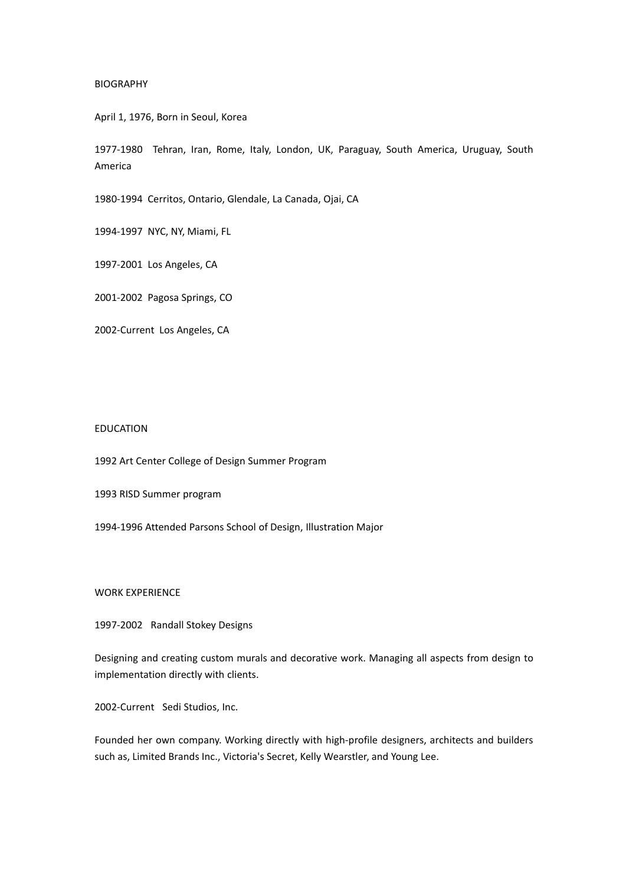## BIOGRAPHY

April 1, 1976, Born in Seoul, Korea

1977-1980 Tehran, Iran, Rome, Italy, London, UK, Paraguay, South America, Uruguay, South America

1980-1994 Cerritos, Ontario, Glendale, La Canada, Ojai, CA

1994-1997 NYC, NY, Miami, FL

1997-2001 Los Angeles, CA

2001-2002 Pagosa Springs, CO

2002-Current Los Angeles, CA

## EDUCATION

1992 Art Center College of Design Summer Program

1993 RISD Summer program

1994-1996 Attended Parsons School of Design, Illustration Major

WORK EXPERIENCE

1997-2002 Randall Stokey Designs

Designing and creating custom murals and decorative work. Managing all aspects from design to implementation directly with clients.

2002-Current Sedi Studios, Inc.

Founded her own company. Working directly with high-profile designers, architects and builders such as, Limited Brands Inc., Victoria's Secret, Kelly Wearstler, and Young Lee.